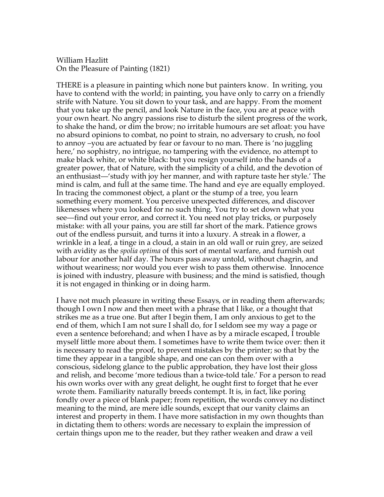William Hazlitt On the Pleasure of Painting (1821)

THERE is a pleasure in painting which none but painters know. In writing, you have to contend with the world; in painting, you have only to carry on a friendly strife with Nature. You sit down to your task, and are happy. From the moment that you take up the pencil, and look Nature in the face, you are at peace with your own heart. No angry passions rise to disturb the silent progress of the work, to shake the hand, or dim the brow; no irritable humours are set afloat: you have no absurd opinions to combat, no point to strain, no adversary to crush, no fool to annoy –you are actuated by fear or favour to no man. There is 'no juggling here,' no sophistry, no intrigue, no tampering with the evidence, no attempt to make black white, or white black: but you resign yourself into the hands of a greater power, that of Nature, with the simplicity of a child, and the devotion of an enthusiast—'study with joy her manner, and with rapture taste her style.' The mind is calm, and full at the same time. The hand and eye are equally employed. In tracing the commonest object, a plant or the stump of a tree, you learn something every moment. You perceive unexpected differences, and discover likenesses where you looked for no such thing. You try to set down what you see—find out your error, and correct it. You need not play tricks, or purposely mistake: with all your pains, you are still far short of the mark. Patience grows out of the endless pursuit, and turns it into a luxury. A streak in a flower, a wrinkle in a leaf, a tinge in a cloud, a stain in an old wall or ruin grey, are seized with avidity as the *spolia optima* of this sort of mental warfare, and furnish out labour for another half day. The hours pass away untold, without chagrin, and without weariness; nor would you ever wish to pass them otherwise. Innocence is joined with industry, pleasure with business; and the mind is satisfied, though it is not engaged in thinking or in doing harm.

I have not much pleasure in writing these Essays, or in reading them afterwards; though I own I now and then meet with a phrase that I like, or a thought that strikes me as a true one. But after I begin them, I am only anxious to get to the end of them, which I am not sure I shall do, for I seldom see my way a page or even a sentence beforehand; and when I have as by a miracle escaped, I trouble myself little more about them. I sometimes have to write them twice over: then it is necessary to read the proof, to prevent mistakes by the printer; so that by the time they appear in a tangible shape, and one can con them over with a conscious, sidelong glance to the public approbation, they have lost their gloss and relish, and become 'more tedious than a twice-told tale.' For a person to read his own works over with any great delight, he ought first to forget that he ever wrote them. Familiarity naturally breeds contempt. It is, in fact, like poring fondly over a piece of blank paper; from repetition, the words convey no distinct meaning to the mind, are mere idle sounds, except that our vanity claims an interest and property in them. I have more satisfaction in my own thoughts than in dictating them to others: words are necessary to explain the impression of certain things upon me to the reader, but they rather weaken and draw a veil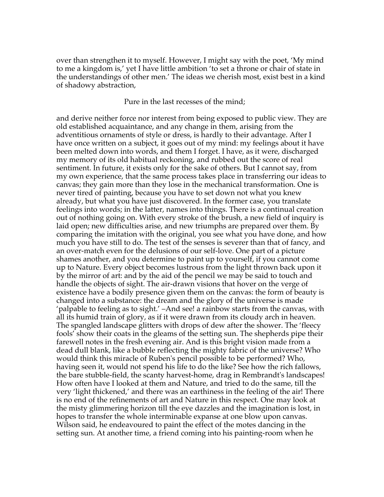over than strengthen it to myself. However, I might say with the poet, 'My mind to me a kingdom is,' yet I have little ambition 'to set a throne or chair of state in the understandings of other men.' The ideas we cherish most, exist best in a kind of shadowy abstraction,

Pure in the last recesses of the mind;

and derive neither force nor interest from being exposed to public view. They are old established acquaintance, and any change in them, arising from the adventitious ornaments of style or dress, is hardly to their advantage. After I have once written on a subject, it goes out of my mind: my feelings about it have been melted down into words, and them I forget. I have, as it were, discharged my memory of its old habitual reckoning, and rubbed out the score of real sentiment. In future, it exists only for the sake of others. But I cannot say, from my own experience, that the same process takes place in transferring our ideas to canvas; they gain more than they lose in the mechanical transformation. One is never tired of painting, because you have to set down not what you knew already, but what you have just discovered. In the former case, you translate feelings into words; in the latter, names into things. There is a continual creation out of nothing going on. With every stroke of the brush, a new field of inquiry is laid open; new difficulties arise, and new triumphs are prepared over them. By comparing the imitation with the original, you see what you have done, and how much you have still to do. The test of the senses is severer than that of fancy, and an over-match even for the delusions of our self-love. One part of a picture shames another, and you determine to paint up to yourself, if you cannot come up to Nature. Every object becomes lustrous from the light thrown back upon it by the mirror of art: and by the aid of the pencil we may be said to touch and handle the objects of sight. The air-drawn visions that hover on the verge of existence have a bodily presence given them on the canvas: the form of beauty is changed into a substance: the dream and the glory of the universe is made 'palpable to feeling as to sight.' –And see! a rainbow starts from the canvas, with all its humid train of glory, as if it were drawn from its cloudy arch in heaven. The spangled landscape glitters with drops of dew after the shower. The 'fleecy fools' show their coats in the gleams of the setting sun. The shepherds pipe their farewell notes in the fresh evening air. And is this bright vision made from a dead dull blank, like a bubble reflecting the mighty fabric of the universe? Who would think this miracle of Ruben's pencil possible to be performed? Who, having seen it, would not spend his life to do the like? See how the rich fallows, the bare stubble-field, the scanty harvest-home, drag in Rembrandt's landscapes! How often have I looked at them and Nature, and tried to do the same, till the very 'light thickened,' and there was an earthiness in the feeling of the air! There is no end of the refinements of art and Nature in this respect. One may look at the misty glimmering horizon till the eye dazzles and the imagination is lost, in hopes to transfer the whole interminable expanse at one blow upon canvas. Wilson said, he endeavoured to paint the effect of the motes dancing in the setting sun. At another time, a friend coming into his painting-room when he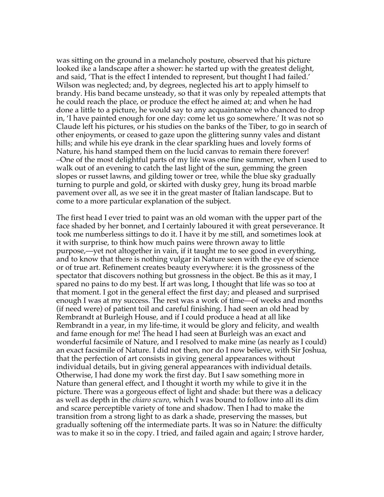was sitting on the ground in a melancholy posture, observed that his picture looked ike a landscape after a shower: he started up with the greatest delight, and said, 'That is the effect I intended to represent, but thought I had failed.' Wilson was neglected; and, by degrees, neglected his art to apply himself to brandy. His band became unsteady, so that it was only by repealed attempts that he could reach the place, or produce the effect he aimed at; and when he had done a little to a picture, he would say to any acquaintance who chanced to drop in, 'I have painted enough for one day: come let us go somewhere.' It was not so Claude left his pictures, or his studies on the banks of the Tiber, to go in search of other enjoyments, or ceased to gaze upon the glittering sunny vales and distant hills; and while his eye drank in the clear sparkling hues and lovely forms of Nature, his hand stamped them on the lucid canvas to remain there forever! –One of the most delightful parts of my life was one fine summer, when I used to walk out of an evening to catch the last light of the sun, gemming the green slopes or russet lawns, and gilding tower or tree, while the blue sky gradually turning to purple and gold, or skirted with dusky grey, hung its broad marble pavement over all, as we see it in the great master of Italian landscape. But to come to a more particular explanation of the subject.

The first head I ever tried to paint was an old woman with the upper part of the face shaded by her bonnet, and I certainly laboured it with great perseverance. It took me numberless sittings to do it. I have it by me still, and sometimes look at it with surprise, to think how much pains were thrown away to little purpose,—yet not altogether in vain, if it taught me to see good in everything, and to know that there is nothing vulgar in Nature seen with the eye of science or of true art. Refinement creates beauty everywhere: it is the grossness of the spectator that discovers nothing but grossness in the object. Be this as it may, I spared no pains to do my best. If art was long, I thought that life was so too at that moment. I got in the general effect the first day; and pleased and surprised enough I was at my success. The rest was a work of time—of weeks and months (if need were) of patient toil and careful finishing. I had seen an old head by Rembrandt at Burleigh House, and if I could produce a head at all like Rembrandt in a year, in my life-time, it would be glory and felicity, and wealth and fame enough for me! The head I had seen at Burleigh was an exact and wonderful facsimile of Nature, and I resolved to make mine (as nearly as I could) an exact facsimile of Nature. I did not then, nor do I now believe, with Sir Joshua, that the perfection of art consists in giving general appearances without individual details, but in giving general appearances with individual details. Otherwise, I had done my work the first day. But I saw something more in Nature than general effect, and I thought it worth my while to give it in the picture. There was a gorgeous effect of light and shade: but there was a delicacy as well as depth in the *chiaro scuro*, which I was bound to follow into all its dim and scarce perceptible variety of tone and shadow. Then I had to make the transition from a strong light to as dark a shade, preserving the masses, but gradually softening off the intermediate parts. It was so in Nature: the difficulty was to make it so in the copy. I tried, and failed again and again; I strove harder,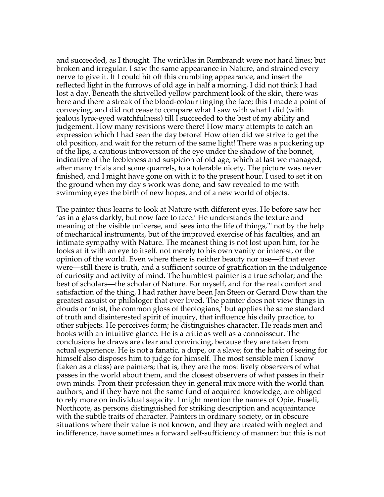and succeeded, as I thought. The wrinkles in Rembrandt were not hard lines; but broken and irregular. I saw the same appearance in Nature, and strained every nerve to give it. If I could hit off this crumbling appearance, and insert the reflected light in the furrows of old age in half a morning, I did not think I had lost a day. Beneath the shrivelled yellow parchment look of the skin, there was here and there a streak of the blood-colour tinging the face; this I made a point of conveying, and did not cease to compare what I saw with what I did (with jealous lynx-eyed watchfulness) till I succeeded to the best of my ability and judgement. How many revisions were there! How many attempts to catch an expression which I had seen the day before! How often did we strive to get the old position, and wait for the return of the same light! There was a puckering up of the lips, a cautious introversion of the eye under the shadow of the bonnet, indicative of the feebleness and suspicion of old age, which at last we managed, after many trials and some quarrels, to a tolerable nicety. The picture was never finished, and I might have gone on with it to the present hour. I used to set it on the ground when my day's work was done, and saw revealed to me with swimming eyes the birth of new hopes, and of a new world of objects.

The painter thus learns to look at Nature with different eyes. He before saw her 'as in a glass darkly, but now face to face.' He understands the texture and meaning of the visible universe, and 'sees into the life of things,''' not by the help of mechanical instruments, but of the improved exercise of his faculties, and an intimate sympathy with Nature. The meanest thing is not lost upon him, for he looks at it with an eye to itself. not merely to his own vanity or interest, or the opinion of the world. Even where there is neither beauty nor use—if that ever were—still there is truth, and a sufficient source of gratification in the indulgence of curiosity and activity of mind. The humblest painter is a true scholar; and the best of scholars—the scholar of Nature. For myself, and for the real comfort and satisfaction of the thing, I had rather have been Jan Steen or Gerard Dow than the greatest casuist or philologer that ever lived. The painter does not view things in clouds or 'mist, the common gloss of theologians,' but applies the same standard of truth and disinterested spirit of inquiry, that influence his daily practice, to other subjects. He perceives form; he distinguishes character. He reads men and books with an intuitive glance. He is a critic as well as a connoisseur. The conclusions he draws are clear and convincing, because they are taken from actual experience. He is not a fanatic, a dupe, or a slave; for the habit of seeing for himself also disposes him to judge for himself. The most sensible men I know (taken as a class) are painters; that is, they are the most lively observers of what passes in the world about them, and the closest observers of what passes in their own minds. From their profession they in general mix more with the world than authors; and if they have not the same fund of acquired knowledge, are obliged to rely more on individual sagacity. I might mention the names of Opie, Fuseli, Northcote, as persons distinguished for striking description and acquaintance with the subtle traits of character. Painters in ordinary society, or in obscure situations where their value is not known, and they are treated with neglect and indifference, have sometimes a forward self-sufficiency of manner: but this is not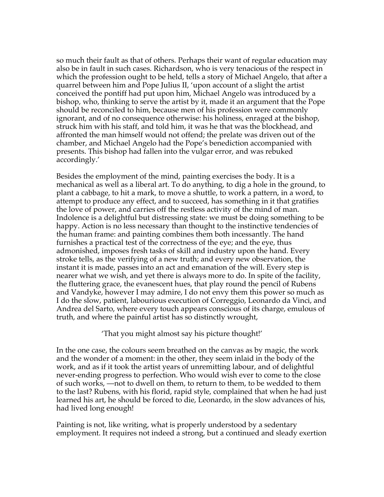so much their fault as that of others. Perhaps their want of regular education may also be in fault in such cases. Richardson, who is very tenacious of the respect in which the profession ought to be held, tells a story of Michael Angelo, that after a quarrel between him and Pope Julius II, 'upon account of a slight the artist conceived the pontiff had put upon him, Michael Angelo was introduced by a bishop, who, thinking to serve the artist by it, made it an argument that the Pope should be reconciled to him, because men of his profession were commonly ignorant, and of no consequence otherwise: his holiness, enraged at the bishop, struck him with his staff, and told him, it was he that was the blockhead, and affronted the man himself would not offend; the prelate was driven out of the chamber, and Michael Angelo had the Pope's benediction accompanied with presents. This bishop had fallen into the vulgar error, and was rebuked accordingly.'

Besides the employment of the mind, painting exercises the body. It is a mechanical as well as a liberal art. To do anything, to dig a hole in the ground, to plant a cabbage, to hit a mark, to move a shuttle, to work a pattern, in a word, to attempt to produce any effect, and to succeed, has something in it that gratifies the love of power, and carries off the restless activity of the mind of man. Indolence is a delightful but distressing state: we must be doing something to be happy. Action is no less necessary than thought to the instinctive tendencies of the human frame: and painting combines them both incessantly. The hand furnishes a practical test of the correctness of the eye; and the eye, thus admonished, imposes fresh tasks of skill and industry upon the hand. Every stroke tells, as the verifying of a new truth; and every new observation, the instant it is made, passes into an act and emanation of the will. Every step is nearer what we wish, and yet there is always more to do. In spite of the facility, the fluttering grace, the evanescent hues, that play round the pencil of Rubens and Vandyke, however I may admire, I do not envy them this power so much as I do the slow, patient, labourious execution of Correggio, Leonardo da Vinci, and Andrea del Sarto, where every touch appears conscious of its charge, emulous of truth, and where the painful artist has so distinctly wrought,

'That you might almost say his picture thought!'

In the one case, the colours seem breathed on the canvas as by magic, the work and the wonder of a moment: in the other, they seem inlaid in the body of the work, and as if it took the artist years of unremitting labour, and of delightful never-ending progress to perfection. Who would wish ever to come to the close of such works, —not to dwell on them, to return to them, to be wedded to them to the last? Rubens, with his florid, rapid style, complained that when he had just learned his art, he should be forced to die, Leonardo, in the slow advances of his, had lived long enough!

Painting is not, like writing, what is properly understood by a sedentary employment. It requires not indeed a strong, but a continued and sleady exertion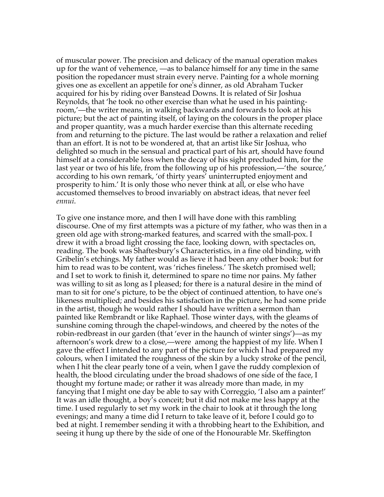of muscular power. The precision and delicacy of the manual operation makes up for the want of vehemence, —as to balance himself for any time in the same position the ropedancer must strain every nerve. Painting for a whole morning gives one as excellent an appetile for one's dinner, as old Abraham Tucker acquired for his by riding over Banstead Downs. It is related of Sir Joshua Reynolds, that 'he took no other exercise than what he used in his paintingroom,'—the writer means, in walking backwards and forwards to look at his picture; but the act of painting itself, of laying on the colours in the proper place and proper quantity, was a much harder exercise than this alternate receding from and returning to the picture. The last would be rather a relaxation and relief than an effort. It is not to be wondered at, that an artist like Sir Joshua, who delighted so much in the sensual and practical part of his art, should have found himself at a considerable loss when the decay of his sight precluded him, for the last year or two of his life, from the following up of his profession,—'the source,' according to his own remark, 'of thirty years' uninterrupted enjoyment and prosperity to him.' It is only those who never think at all, or else who have accustomed themselves to brood invariably on abstract ideas, that never feel *ennui*.

To give one instance more, and then I will have done with this rambling discourse. One of my first attempts was a picture of my father, who was then in a green old age with strong-marked features, and scarred with the small-pox. I drew it with a broad light crossing the face, looking down, with spectacles on, reading. The book was Shaftesbury's Characteristics, in a fine old binding, with Gribelin's etchings. My father would as lieve it had been any other book: but for him to read was to be content, was 'riches fineless.' The sketch promised well; and I set to work to finish it, determined to spare no time nor pains. My father was willing to sit as long as I pleased; for there is a natural desire in the mind of man to sit for one's picture, to be the object of continued attention, to have one's likeness multiplied; and besides his satisfaction in the picture, he had some pride in the artist, though he would rather I should have written a sermon than painted like Rembrandt or like Raphael. Those winter days, with the gleams of sunshine coming through the chapel-windows, and cheered by the notes of the robin-redbreast in our garden (that 'ever in the haunch of winter sings')—as my afternoon's work drew to a close,—were among the happiest of my life. When I gave the effect I intended to any part of the picture for which I had prepared my colours, when I imitated the roughness of the skin by a lucky stroke of the pencil, when I hit the clear pearly tone of a vein, when I gave the ruddy complexion of health, the blood circulating under the broad shadows of one side of the face, I thought my fortune made; or rather it was already more than made, in my fancying that I might one day be able to say with Correggio, 'I also am a painter!' It was an idle thought, a boy's conceit; but it did not make me less happy at the time. I used regularly to set my work in the chair to look at it through the long evenings; and many a time did I return to take leave of it, before I could go to bed at night. I remember sending it with a throbbing heart to the Exhibition, and seeing it hung up there by the side of one of the Honourable Mr. Skeffington